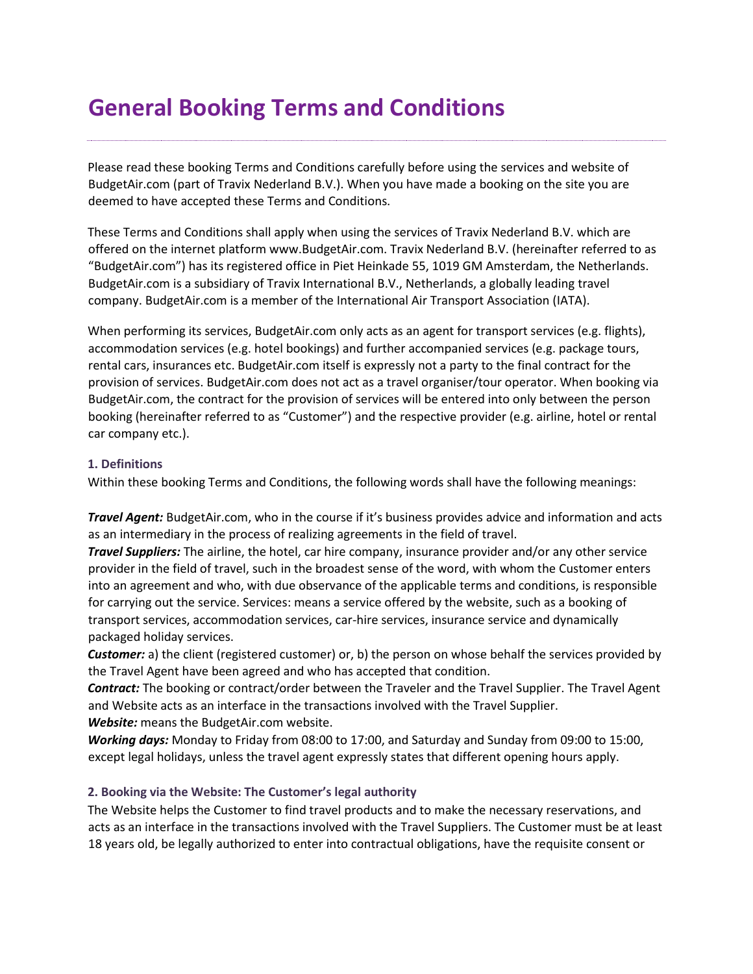# **General Booking Terms and Conditions**

Please read these booking Terms and Conditions carefully before using the services and website of BudgetAir.com (part of Travix Nederland B.V.). When you have made a booking on the site you are deemed to have accepted these Terms and Conditions.

These Terms and Conditions shall apply when using the services of Travix Nederland B.V. which are offered on the internet platform www.BudgetAir.com. Travix Nederland B.V. (hereinafter referred to as "BudgetAir.com") has its registered office in Piet Heinkade 55, 1019 GM Amsterdam, the Netherlands. BudgetAir.com is a subsidiary of Travix International B.V., Netherlands, a globally leading travel company. BudgetAir.com is a member of the International Air Transport Association (IATA).

When performing its services, BudgetAir.com only acts as an agent for transport services (e.g. flights), accommodation services (e.g. hotel bookings) and further accompanied services (e.g. package tours, rental cars, insurances etc. BudgetAir.com itself is expressly not a party to the final contract for the provision of services. BudgetAir.com does not act as a travel organiser/tour operator. When booking via BudgetAir.com, the contract for the provision of services will be entered into only between the person booking (hereinafter referred to as "Customer") and the respective provider (e.g. airline, hotel or rental car company etc.).

#### **1. Definitions**

Within these booking Terms and Conditions, the following words shall have the following meanings:

*Travel Agent:* BudgetAir.com, who in the course if it's business provides advice and information and acts as an intermediary in the process of realizing agreements in the field of travel.

*Travel Suppliers:* The airline, the hotel, car hire company, insurance provider and/or any other service provider in the field of travel, such in the broadest sense of the word, with whom the Customer enters into an agreement and who, with due observance of the applicable terms and conditions, is responsible for carrying out the service. Services: means a service offered by the website, such as a booking of transport services, accommodation services, car-hire services, insurance service and dynamically packaged holiday services.

*Customer:* a) the client (registered customer) or, b) the person on whose behalf the services provided by the Travel Agent have been agreed and who has accepted that condition.

*Contract:* The booking or contract/order between the Traveler and the Travel Supplier. The Travel Agent and Website acts as an interface in the transactions involved with the Travel Supplier. *Website:* means the BudgetAir.com website.

*Working days:* Monday to Friday from 08:00 to 17:00, and Saturday and Sunday from 09:00 to 15:00, except legal holidays, unless the travel agent expressly states that different opening hours apply.

# **2. Booking via the Website: The Customer's legal authority**

The Website helps the Customer to find travel products and to make the necessary reservations, and acts as an interface in the transactions involved with the Travel Suppliers. The Customer must be at least 18 years old, be legally authorized to enter into contractual obligations, have the requisite consent or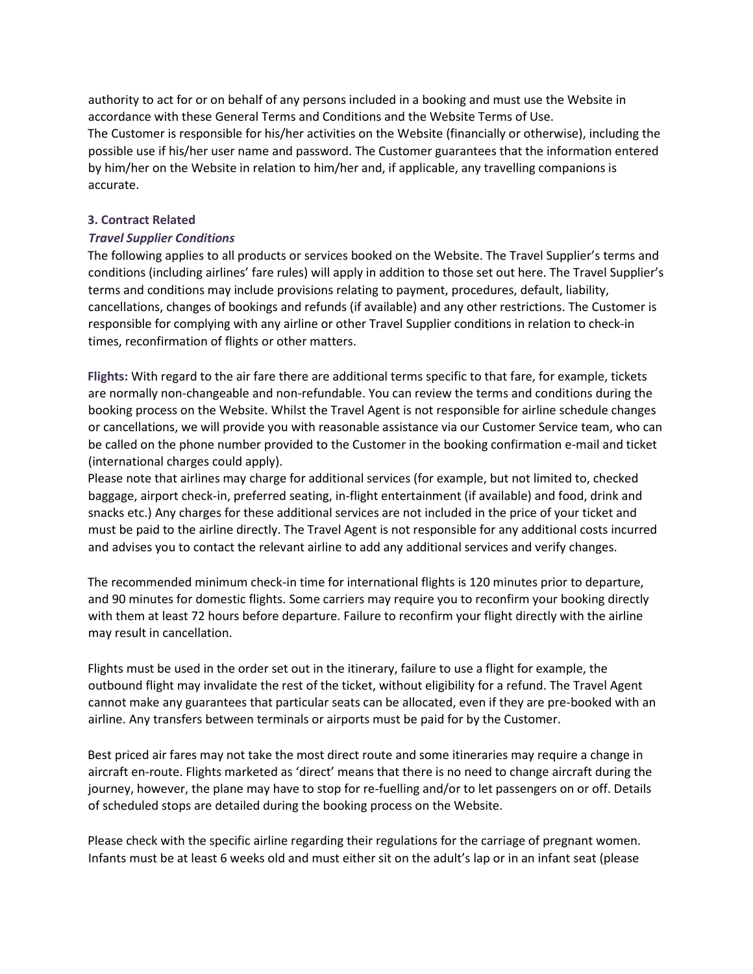authority to act for or on behalf of any persons included in a booking and must use the Website in accordance with these General Terms and Conditions and the Website Terms of Use. The Customer is responsible for his/her activities on the Website (financially or otherwise), including the possible use if his/her user name and password. The Customer guarantees that the information entered by him/her on the Website in relation to him/her and, if applicable, any travelling companions is accurate.

#### **3. Contract Related**

#### *Travel Supplier Conditions*

The following applies to all products or services booked on the Website. The Travel Supplier's terms and conditions (including airlines' fare rules) will apply in addition to those set out here. The Travel Supplier's terms and conditions may include provisions relating to payment, procedures, default, liability, cancellations, changes of bookings and refunds (if available) and any other restrictions. The Customer is responsible for complying with any airline or other Travel Supplier conditions in relation to check-in times, reconfirmation of flights or other matters.

**Flights:** With regard to the air fare there are additional terms specific to that fare, for example, tickets are normally non-changeable and non-refundable. You can review the terms and conditions during the booking process on the Website. Whilst the Travel Agent is not responsible for airline schedule changes or cancellations, we will provide you with reasonable assistance via our Customer Service team, who can be called on the phone number provided to the Customer in the booking confirmation e-mail and ticket (international charges could apply).

Please note that airlines may charge for additional services (for example, but not limited to, checked baggage, airport check-in, preferred seating, in-flight entertainment (if available) and food, drink and snacks etc.) Any charges for these additional services are not included in the price of your ticket and must be paid to the airline directly. The Travel Agent is not responsible for any additional costs incurred and advises you to contact the relevant airline to add any additional services and verify changes.

The recommended minimum check-in time for international flights is 120 minutes prior to departure, and 90 minutes for domestic flights. Some carriers may require you to reconfirm your booking directly with them at least 72 hours before departure. Failure to reconfirm your flight directly with the airline may result in cancellation.

Flights must be used in the order set out in the itinerary, failure to use a flight for example, the outbound flight may invalidate the rest of the ticket, without eligibility for a refund. The Travel Agent cannot make any guarantees that particular seats can be allocated, even if they are pre-booked with an airline. Any transfers between terminals or airports must be paid for by the Customer.

Best priced air fares may not take the most direct route and some itineraries may require a change in aircraft en-route. Flights marketed as 'direct' means that there is no need to change aircraft during the journey, however, the plane may have to stop for re-fuelling and/or to let passengers on or off. Details of scheduled stops are detailed during the booking process on the Website.

Please check with the specific airline regarding their regulations for the carriage of pregnant women. Infants must be at least 6 weeks old and must either sit on the adult's lap or in an infant seat (please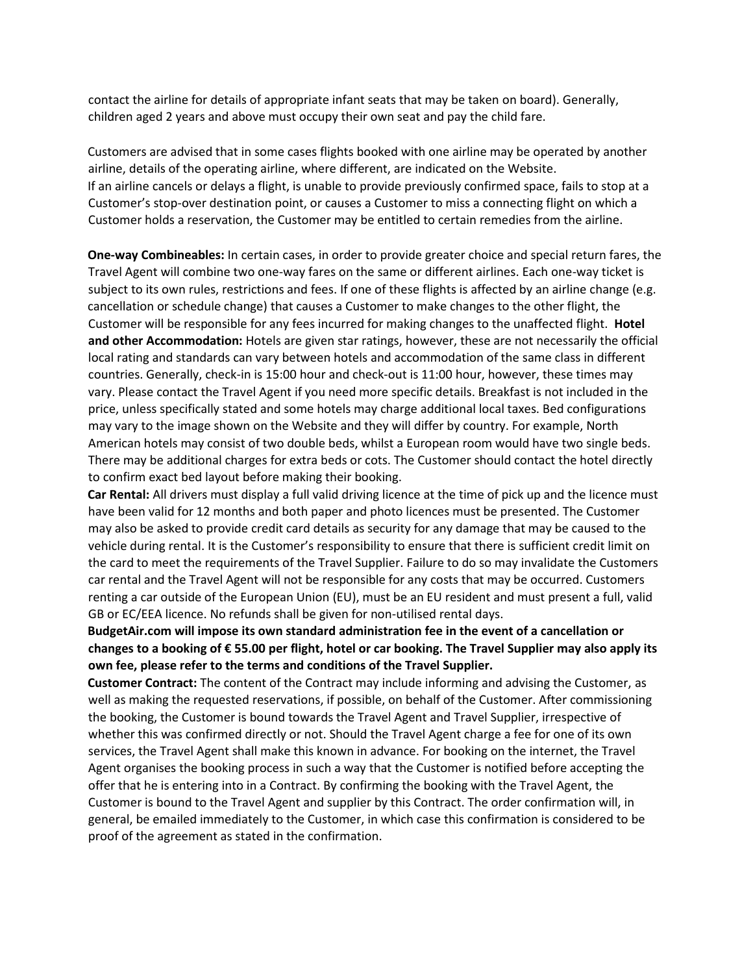contact the airline for details of appropriate infant seats that may be taken on board). Generally, children aged 2 years and above must occupy their own seat and pay the child fare.

Customers are advised that in some cases flights booked with one airline may be operated by another airline, details of the operating airline, where different, are indicated on the Website. If an airline cancels or delays a flight, is unable to provide previously confirmed space, fails to stop at a Customer's stop-over destination point, or causes a Customer to miss a connecting flight on which a Customer holds a reservation, the Customer may be entitled to certain remedies from the airline.

**One-way Combineables:** In certain cases, in order to provide greater choice and special return fares, the Travel Agent will combine two one-way fares on the same or different airlines. Each one-way ticket is subject to its own rules, restrictions and fees. If one of these flights is affected by an airline change (e.g. cancellation or schedule change) that causes a Customer to make changes to the other flight, the Customer will be responsible for any fees incurred for making changes to the unaffected flight. **Hotel and other Accommodation:** Hotels are given star ratings, however, these are not necessarily the official local rating and standards can vary between hotels and accommodation of the same class in different countries. Generally, check-in is 15:00 hour and check-out is 11:00 hour, however, these times may vary. Please contact the Travel Agent if you need more specific details. Breakfast is not included in the price, unless specifically stated and some hotels may charge additional local taxes. Bed configurations may vary to the image shown on the Website and they will differ by country. For example, North American hotels may consist of two double beds, whilst a European room would have two single beds. There may be additional charges for extra beds or cots. The Customer should contact the hotel directly to confirm exact bed layout before making their booking.

**Car Rental:** All drivers must display a full valid driving licence at the time of pick up and the licence must have been valid for 12 months and both paper and photo licences must be presented. The Customer may also be asked to provide credit card details as security for any damage that may be caused to the vehicle during rental. It is the Customer's responsibility to ensure that there is sufficient credit limit on the card to meet the requirements of the Travel Supplier. Failure to do so may invalidate the Customers car rental and the Travel Agent will not be responsible for any costs that may be occurred. Customers renting a car outside of the European Union (EU), must be an EU resident and must present a full, valid GB or EC/EEA licence. No refunds shall be given for non-utilised rental days.

**BudgetAir.com will impose its own standard administration fee in the event of a cancellation or changes to a booking of € 55.00 per flight, hotel or car booking. The Travel Supplier may also apply its own fee, please refer to the terms and conditions of the Travel Supplier.** 

**Customer Contract:** The content of the Contract may include informing and advising the Customer, as well as making the requested reservations, if possible, on behalf of the Customer. After commissioning the booking, the Customer is bound towards the Travel Agent and Travel Supplier, irrespective of whether this was confirmed directly or not. Should the Travel Agent charge a fee for one of its own services, the Travel Agent shall make this known in advance. For booking on the internet, the Travel Agent organises the booking process in such a way that the Customer is notified before accepting the offer that he is entering into in a Contract. By confirming the booking with the Travel Agent, the Customer is bound to the Travel Agent and supplier by this Contract. The order confirmation will, in general, be emailed immediately to the Customer, in which case this confirmation is considered to be proof of the agreement as stated in the confirmation.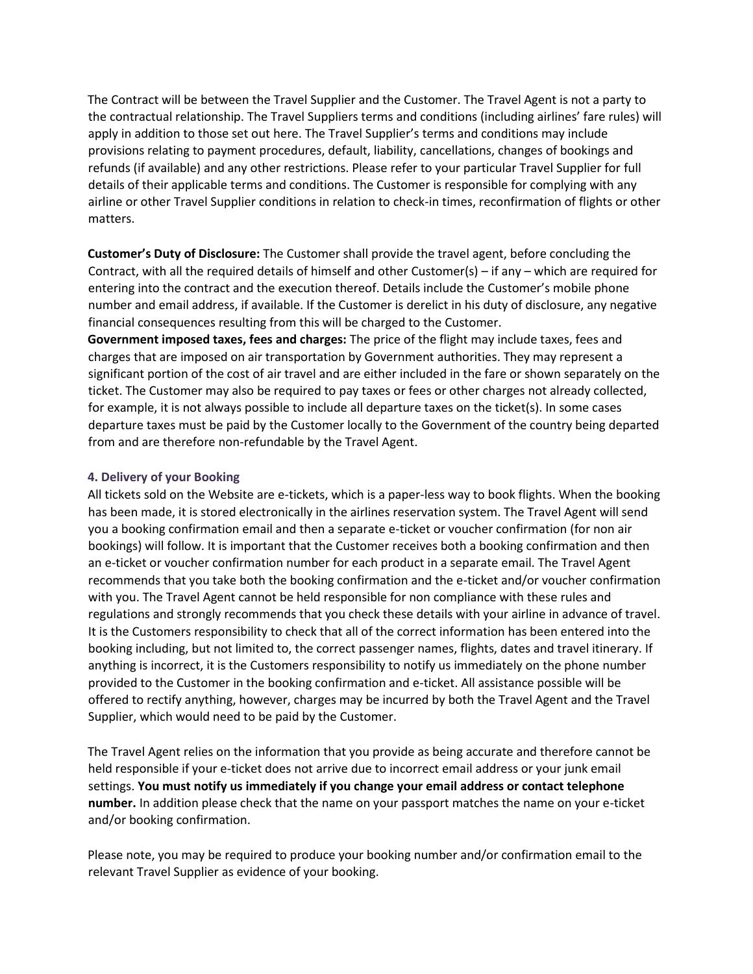The Contract will be between the Travel Supplier and the Customer. The Travel Agent is not a party to the contractual relationship. The Travel Suppliers terms and conditions (including airlines' fare rules) will apply in addition to those set out here. The Travel Supplier's terms and conditions may include provisions relating to payment procedures, default, liability, cancellations, changes of bookings and refunds (if available) and any other restrictions. Please refer to your particular Travel Supplier for full details of their applicable terms and conditions. The Customer is responsible for complying with any airline or other Travel Supplier conditions in relation to check-in times, reconfirmation of flights or other matters.

**Customer's Duty of Disclosure:** The Customer shall provide the travel agent, before concluding the Contract, with all the required details of himself and other Customer(s) – if any – which are required for entering into the contract and the execution thereof. Details include the Customer's mobile phone number and email address, if available. If the Customer is derelict in his duty of disclosure, any negative financial consequences resulting from this will be charged to the Customer.

**Government imposed taxes, fees and charges:** The price of the flight may include taxes, fees and charges that are imposed on air transportation by Government authorities. They may represent a significant portion of the cost of air travel and are either included in the fare or shown separately on the ticket. The Customer may also be required to pay taxes or fees or other charges not already collected, for example, it is not always possible to include all departure taxes on the ticket(s). In some cases departure taxes must be paid by the Customer locally to the Government of the country being departed from and are therefore non-refundable by the Travel Agent.

#### **4. Delivery of your Booking**

All tickets sold on the Website are e-tickets, which is a paper-less way to book flights. When the booking has been made, it is stored electronically in the airlines reservation system. The Travel Agent will send you a booking confirmation email and then a separate e-ticket or voucher confirmation (for non air bookings) will follow. It is important that the Customer receives both a booking confirmation and then an e-ticket or voucher confirmation number for each product in a separate email. The Travel Agent recommends that you take both the booking confirmation and the e-ticket and/or voucher confirmation with you. The Travel Agent cannot be held responsible for non compliance with these rules and regulations and strongly recommends that you check these details with your airline in advance of travel. It is the Customers responsibility to check that all of the correct information has been entered into the booking including, but not limited to, the correct passenger names, flights, dates and travel itinerary. If anything is incorrect, it is the Customers responsibility to notify us immediately on the phone number provided to the Customer in the booking confirmation and e-ticket. All assistance possible will be offered to rectify anything, however, charges may be incurred by both the Travel Agent and the Travel Supplier, which would need to be paid by the Customer.

The Travel Agent relies on the information that you provide as being accurate and therefore cannot be held responsible if your e-ticket does not arrive due to incorrect email address or your junk email settings. **You must notify us immediately if you change your email address or contact telephone number.** In addition please check that the name on your passport matches the name on your e-ticket and/or booking confirmation.

Please note, you may be required to produce your booking number and/or confirmation email to the relevant Travel Supplier as evidence of your booking.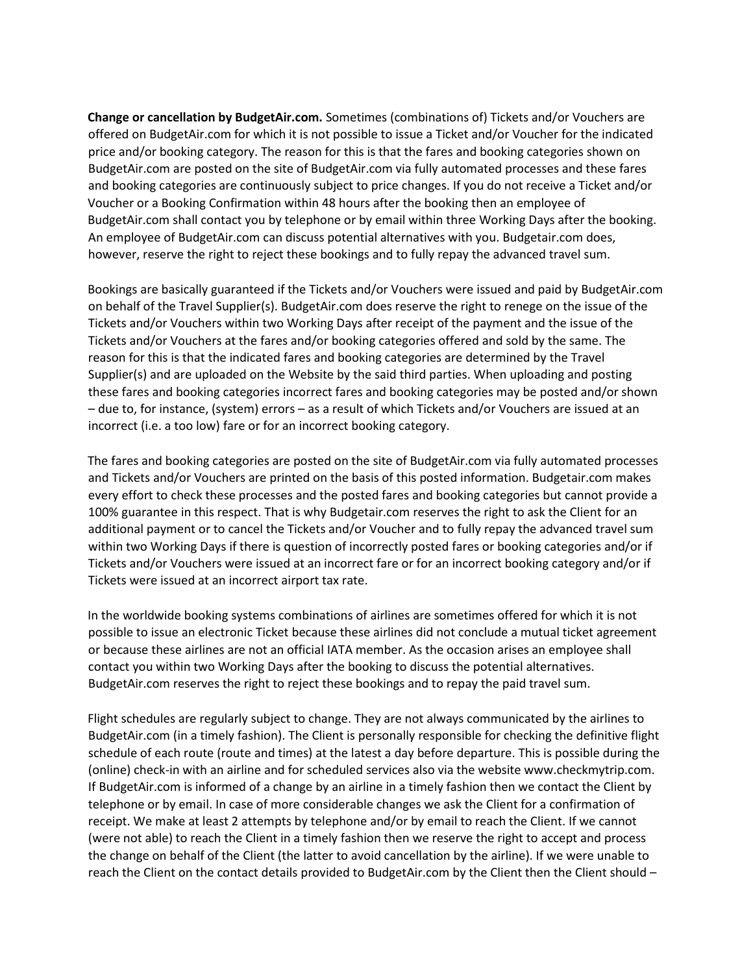**Change or cancellation by BudgetAir.com.** Sometimes (combinations of) Tickets and/or Vouchers are offered on BudgetAir.com for which it is not possible to issue a Ticket and/or Voucher for the indicated price and/or booking category. The reason for this is that the fares and booking categories shown on BudgetAir.com are posted on the site of BudgetAir.com via fully automated processes and these fares and booking categories are continuously subject to price changes. If you do not receive a Ticket and/or Voucher or a Booking Confirmation within 48 hours after the booking then an employee of BudgetAir.com shall contact you by telephone or by email within three Working Days after the booking. An employee of BudgetAir.com can discuss potential alternatives with you. Budgetair.com does, however, reserve the right to reject these bookings and to fully repay the advanced travel sum.

Bookings are basically guaranteed if the Tickets and/or Vouchers were issued and paid by BudgetAir.com on behalf of the Travel Supplier(s). BudgetAir.com does reserve the right to renege on the issue of the Tickets and/or Vouchers within two Working Days after receipt of the payment and the issue of the Tickets and/or Vouchers at the fares and/or booking categories offered and sold by the same. The reason for this is that the indicated fares and booking categories are determined by the Travel Supplier(s) and are uploaded on the Website by the said third parties. When uploading and posting these fares and booking categories incorrect fares and booking categories may be posted and/or shown – due to, for instance, (system) errors – as a result of which Tickets and/or Vouchers are issued at an incorrect (i.e. a too low) fare or for an incorrect booking category.

The fares and booking categories are posted on the site of BudgetAir.com via fully automated processes and Tickets and/or Vouchers are printed on the basis of this posted information. Budgetair.com makes every effort to check these processes and the posted fares and booking categories but cannot provide a 100% guarantee in this respect. That is why Budgetair.com reserves the right to ask the Client for an additional payment or to cancel the Tickets and/or Voucher and to fully repay the advanced travel sum within two Working Days if there is question of incorrectly posted fares or booking categories and/or if Tickets and/or Vouchers were issued at an incorrect fare or for an incorrect booking category and/or if Tickets were issued at an incorrect airport tax rate.

In the worldwide booking systems combinations of airlines are sometimes offered for which it is not possible to issue an electronic Ticket because these airlines did not conclude a mutual ticket agreement or because these airlines are not an official IATA member. As the occasion arises an employee shall contact you within two Working Days after the booking to discuss the potential alternatives. BudgetAir.com reserves the right to reject these bookings and to repay the paid travel sum.

Flight schedules are regularly subject to change. They are not always communicated by the airlines to BudgetAir.com (in a timely fashion). The Client is personally responsible for checking the definitive flight schedule of each route (route and times) at the latest a day before departure. This is possible during the (online) check-in with an airline and for scheduled services also via the website www.checkmytrip.com. If BudgetAir.com is informed of a change by an airline in a timely fashion then we contact the Client by telephone or by email. In case of more considerable changes we ask the Client for a confirmation of receipt. We make at least 2 attempts by telephone and/or by email to reach the Client. If we cannot (were not able) to reach the Client in a timely fashion then we reserve the right to accept and process the change on behalf of the Client (the latter to avoid cancellation by the airline). If we were unable to reach the Client on the contact details provided to BudgetAir.com by the Client then the Client should –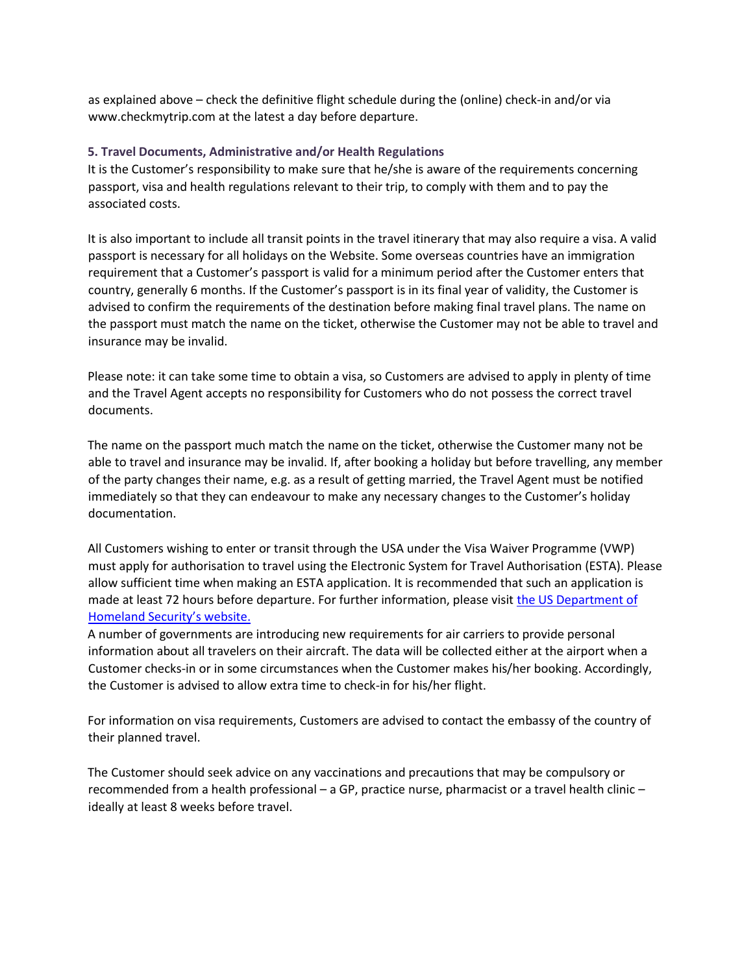as explained above – check the definitive flight schedule during the (online) check-in and/or via www.checkmytrip.com at the latest a day before departure.

# **5. Travel Documents, Administrative and/or Health Regulations**

It is the Customer's responsibility to make sure that he/she is aware of the requirements concerning passport, visa and health regulations relevant to their trip, to comply with them and to pay the associated costs.

It is also important to include all transit points in the travel itinerary that may also require a visa. A valid passport is necessary for all holidays on the Website. Some overseas countries have an immigration requirement that a Customer's passport is valid for a minimum period after the Customer enters that country, generally 6 months. If the Customer's passport is in its final year of validity, the Customer is advised to confirm the requirements of the destination before making final travel plans. The name on the passport must match the name on the ticket, otherwise the Customer may not be able to travel and insurance may be invalid.

Please note: it can take some time to obtain a visa, so Customers are advised to apply in plenty of time and the Travel Agent accepts no responsibility for Customers who do not possess the correct travel documents.

The name on the passport much match the name on the ticket, otherwise the Customer many not be able to travel and insurance may be invalid. If, after booking a holiday but before travelling, any member of the party changes their name, e.g. as a result of getting married, the Travel Agent must be notified immediately so that they can endeavour to make any necessary changes to the Customer's holiday documentation.

All Customers wishing to enter or transit through the USA under the Visa Waiver Programme (VWP) must apply for authorisation to travel using the Electronic System for Travel Authorisation (ESTA). Please allow sufficient time when making an ESTA application. It is recommended that such an application is made at least 72 hours before departure. For further information, please visit [the US Department of](https://esta.cbp.dhs.gov/esta/) [Homeland Security's website.](https://esta.cbp.dhs.gov/esta/)

A number of governments are introducing new requirements for air carriers to provide personal information about all travelers on their aircraft. The data will be collected either at the airport when a Customer checks-in or in some circumstances when the Customer makes his/her booking. Accordingly, the Customer is advised to allow extra time to check-in for his/her flight.

For information on visa requirements, Customers are advised to contact the embassy of the country of their planned travel.

The Customer should seek advice on any vaccinations and precautions that may be compulsory or recommended from a health professional – a GP, practice nurse, pharmacist or a travel health clinic – ideally at least 8 weeks before travel.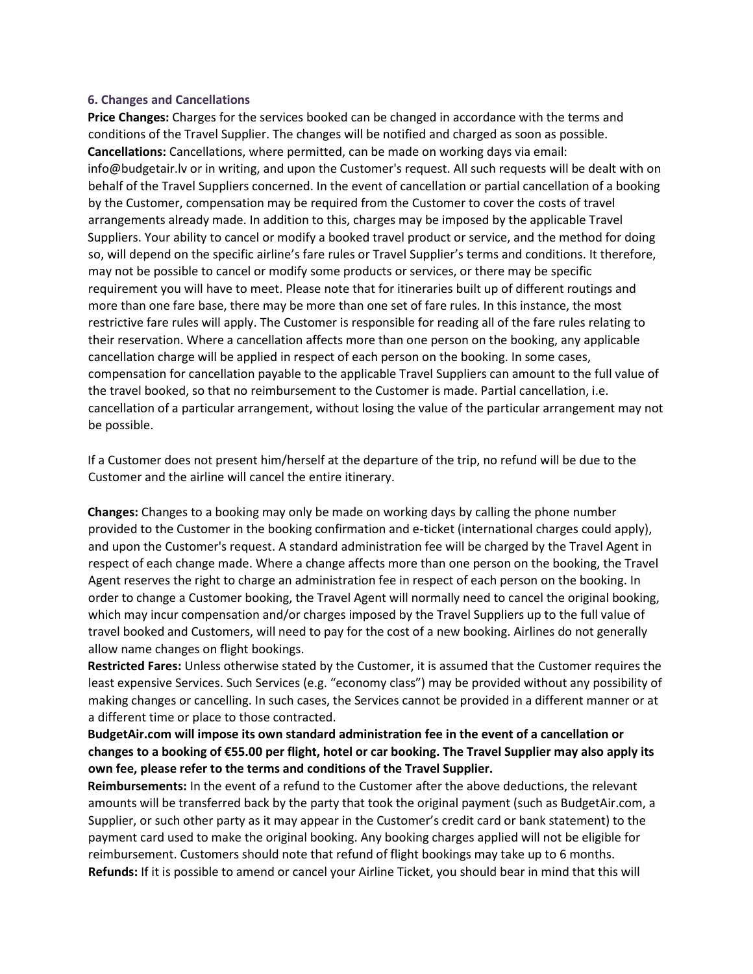#### **6. Changes and Cancellations**

**Price Changes:** Charges for the services booked can be changed in accordance with the terms and conditions of the Travel Supplier. The changes will be notified and charged as soon as possible. **Cancellations:** Cancellations, where permitted, can be made on working days via email: info@budgetair.lv or in writing, and upon the Customer's request. All such requests will be dealt with on behalf of the Travel Suppliers concerned. In the event of cancellation or partial cancellation of a booking by the Customer, compensation may be required from the Customer to cover the costs of travel arrangements already made. In addition to this, charges may be imposed by the applicable Travel Suppliers. Your ability to cancel or modify a booked travel product or service, and the method for doing so, will depend on the specific airline's fare rules or Travel Supplier's terms and conditions. It therefore, may not be possible to cancel or modify some products or services, or there may be specific requirement you will have to meet. Please note that for itineraries built up of different routings and more than one fare base, there may be more than one set of fare rules. In this instance, the most restrictive fare rules will apply. The Customer is responsible for reading all of the fare rules relating to their reservation. Where a cancellation affects more than one person on the booking, any applicable cancellation charge will be applied in respect of each person on the booking. In some cases, compensation for cancellation payable to the applicable Travel Suppliers can amount to the full value of the travel booked, so that no reimbursement to the Customer is made. Partial cancellation, i.e. cancellation of a particular arrangement, without losing the value of the particular arrangement may not be possible.

If a Customer does not present him/herself at the departure of the trip, no refund will be due to the Customer and the airline will cancel the entire itinerary.

**Changes:** Changes to a booking may only be made on working days by calling the phone number provided to the Customer in the booking confirmation and e-ticket (international charges could apply), and upon the Customer's request. A standard administration fee will be charged by the Travel Agent in respect of each change made. Where a change affects more than one person on the booking, the Travel Agent reserves the right to charge an administration fee in respect of each person on the booking. In order to change a Customer booking, the Travel Agent will normally need to cancel the original booking, which may incur compensation and/or charges imposed by the Travel Suppliers up to the full value of travel booked and Customers, will need to pay for the cost of a new booking. Airlines do not generally allow name changes on flight bookings.

**Restricted Fares:** Unless otherwise stated by the Customer, it is assumed that the Customer requires the least expensive Services. Such Services (e.g. "economy class") may be provided without any possibility of making changes or cancelling. In such cases, the Services cannot be provided in a different manner or at a different time or place to those contracted.

# **BudgetAir.com will impose its own standard administration fee in the event of a cancellation or changes to a booking of €55.00 per flight, hotel or car booking. The Travel Supplier may also apply its own fee, please refer to the terms and conditions of the Travel Supplier.**

**Reimbursements:** In the event of a refund to the Customer after the above deductions, the relevant amounts will be transferred back by the party that took the original payment (such as BudgetAir.com, a Supplier, or such other party as it may appear in the Customer's credit card or bank statement) to the payment card used to make the original booking. Any booking charges applied will not be eligible for reimbursement. Customers should note that refund of flight bookings may take up to 6 months. **Refunds:** If it is possible to amend or cancel your Airline Ticket, you should bear in mind that this will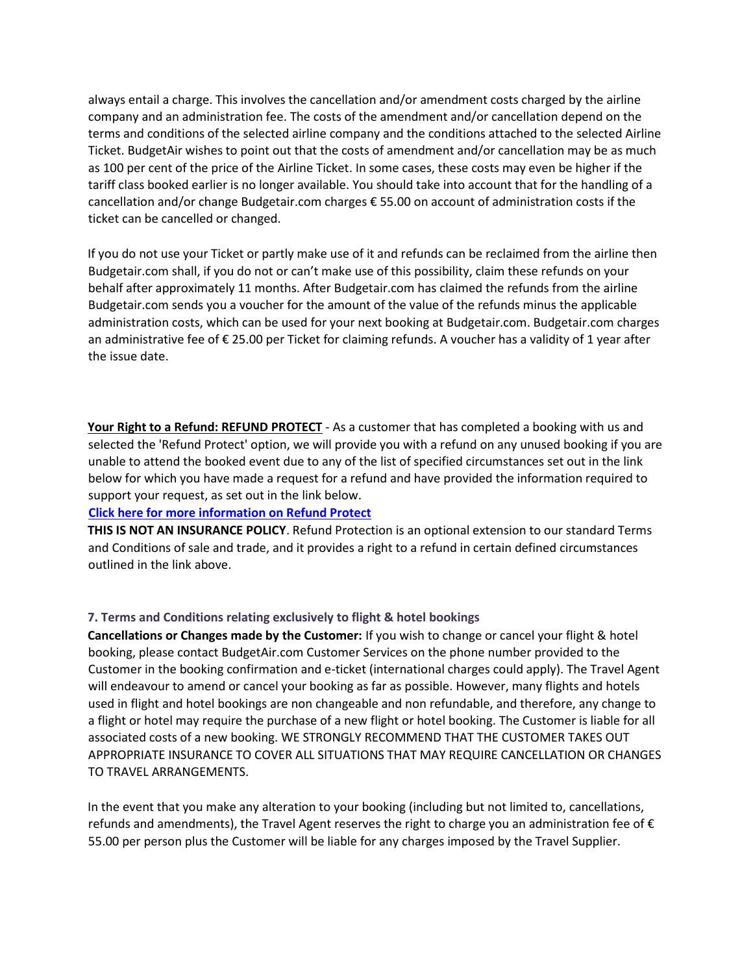always entail a charge. This involves the cancellation and/or amendment costs charged by the airline company and an administration fee. The costs of the amendment and/or cancellation depend on the terms and conditions of the selected airline company and the conditions attached to the selected Airline Ticket. BudgetAir wishes to point out that the costs of amendment and/or cancellation may be as much as 100 per cent of the price of the Airline Ticket. In some cases, these costs may even be higher if the tariff class booked earlier is no longer available. You should take into account that for the handling of a cancellation and/or change Budgetair.com charges € 55.00 on account of administration costs if the ticket can be cancelled or changed.

If you do not use your Ticket or partly make use of it and refunds can be reclaimed from the airline then Budgetair.com shall, if you do not or can't make use of this possibility, claim these refunds on your behalf after approximately 11 months. After Budgetair.com has claimed the refunds from the airline Budgetair.com sends you a voucher for the amount of the value of the refunds minus the applicable administration costs, which can be used for your next booking at Budgetair.com. Budgetair.com charges an administrative fee of € 25.00 per Ticket for claiming refunds. A voucher has a validity of 1 year after the issue date.

**Your Right to a Refund: REFUND PROTECT** - As a customer that has completed a booking with us and selected the 'Refund Protect' option, we will provide you with a refund on any unused booking if you are unable to attend the booked event due to any of the list of specified circumstances set out in the link below for which you have made a request for a refund and have provided the information required to support your request, as set out in the link below.

#### **[Click here for more information on Refund Protect](https://www.refundprotect.me/member-wording)**

**THIS IS NOT AN INSURANCE POLICY**. Refund Protection is an optional extension to our standard Terms and Conditions of sale and trade, and it provides a right to a refund in certain defined circumstances outlined in the link above.

# **7. Terms and Conditions relating exclusively to flight & hotel bookings**

**Cancellations or Changes made by the Customer:** If you wish to change or cancel your flight & hotel booking, please contact BudgetAir.com Customer Services on the phone number provided to the Customer in the booking confirmation and e-ticket (international charges could apply). The Travel Agent will endeavour to amend or cancel your booking as far as possible. However, many flights and hotels used in flight and hotel bookings are non changeable and non refundable, and therefore, any change to a flight or hotel may require the purchase of a new flight or hotel booking. The Customer is liable for all associated costs of a new booking. WE STRONGLY RECOMMEND THAT THE CUSTOMER TAKES OUT APPROPRIATE INSURANCE TO COVER ALL SITUATIONS THAT MAY REQUIRE CANCELLATION OR CHANGES TO TRAVEL ARRANGEMENTS.

In the event that you make any alteration to your booking (including but not limited to, cancellations, refunds and amendments), the Travel Agent reserves the right to charge you an administration fee of € 55.00 per person plus the Customer will be liable for any charges imposed by the Travel Supplier.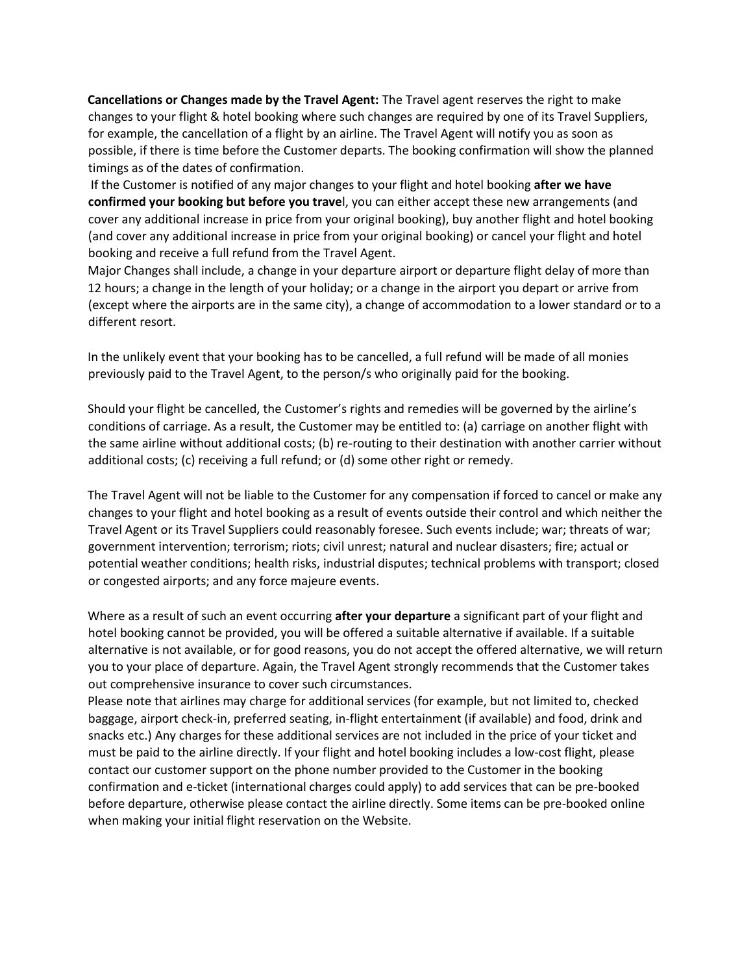**Cancellations or Changes made by the Travel Agent:** The Travel agent reserves the right to make changes to your flight & hotel booking where such changes are required by one of its Travel Suppliers, for example, the cancellation of a flight by an airline. The Travel Agent will notify you as soon as possible, if there is time before the Customer departs. The booking confirmation will show the planned timings as of the dates of confirmation.

If the Customer is notified of any major changes to your flight and hotel booking **after we have confirmed your booking but before you trave**l, you can either accept these new arrangements (and cover any additional increase in price from your original booking), buy another flight and hotel booking (and cover any additional increase in price from your original booking) or cancel your flight and hotel booking and receive a full refund from the Travel Agent.

Major Changes shall include, a change in your departure airport or departure flight delay of more than 12 hours; a change in the length of your holiday; or a change in the airport you depart or arrive from (except where the airports are in the same city), a change of accommodation to a lower standard or to a different resort.

In the unlikely event that your booking has to be cancelled, a full refund will be made of all monies previously paid to the Travel Agent, to the person/s who originally paid for the booking.

Should your flight be cancelled, the Customer's rights and remedies will be governed by the airline's conditions of carriage. As a result, the Customer may be entitled to: (a) carriage on another flight with the same airline without additional costs; (b) re-routing to their destination with another carrier without additional costs; (c) receiving a full refund; or (d) some other right or remedy.

The Travel Agent will not be liable to the Customer for any compensation if forced to cancel or make any changes to your flight and hotel booking as a result of events outside their control and which neither the Travel Agent or its Travel Suppliers could reasonably foresee. Such events include; war; threats of war; government intervention; terrorism; riots; civil unrest; natural and nuclear disasters; fire; actual or potential weather conditions; health risks, industrial disputes; technical problems with transport; closed or congested airports; and any force majeure events.

Where as a result of such an event occurring **after your departure** a significant part of your flight and hotel booking cannot be provided, you will be offered a suitable alternative if available. If a suitable alternative is not available, or for good reasons, you do not accept the offered alternative, we will return you to your place of departure. Again, the Travel Agent strongly recommends that the Customer takes out comprehensive insurance to cover such circumstances.

Please note that airlines may charge for additional services (for example, but not limited to, checked baggage, airport check-in, preferred seating, in-flight entertainment (if available) and food, drink and snacks etc.) Any charges for these additional services are not included in the price of your ticket and must be paid to the airline directly. If your flight and hotel booking includes a low-cost flight, please contact our customer support on the phone number provided to the Customer in the booking confirmation and e-ticket (international charges could apply) to add services that can be pre-booked before departure, otherwise please contact the airline directly. Some items can be pre-booked online when making your initial flight reservation on the Website.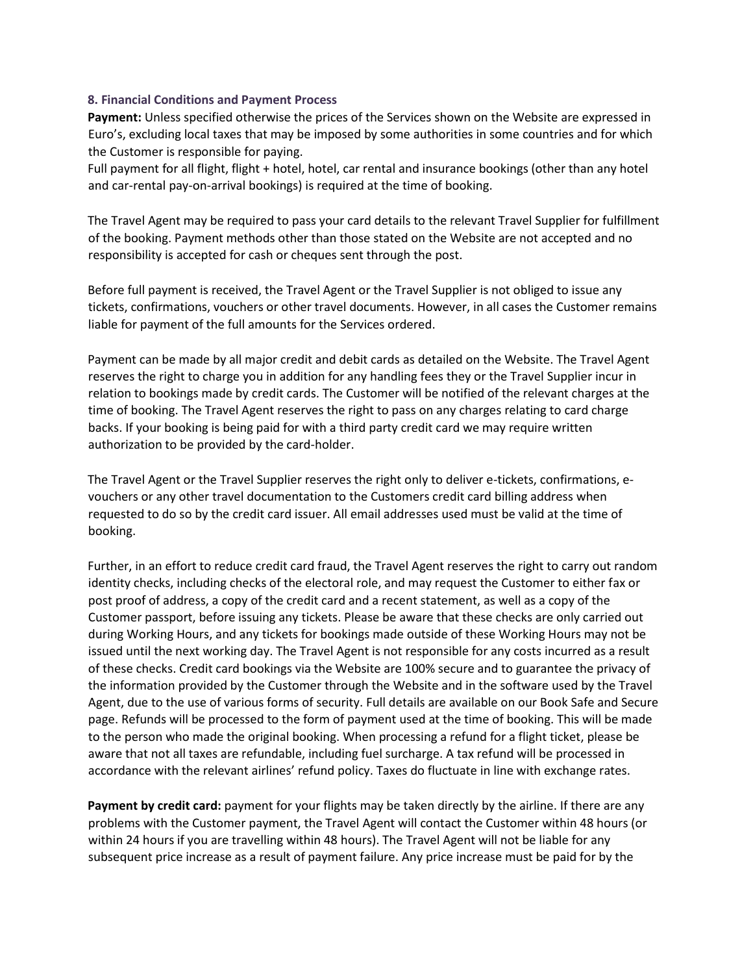## **8. Financial Conditions and Payment Process**

**Payment:** Unless specified otherwise the prices of the Services shown on the Website are expressed in Euro's, excluding local taxes that may be imposed by some authorities in some countries and for which the Customer is responsible for paying.

Full payment for all flight, flight + hotel, hotel, car rental and insurance bookings (other than any hotel and car-rental pay-on-arrival bookings) is required at the time of booking.

The Travel Agent may be required to pass your card details to the relevant Travel Supplier for fulfillment of the booking. Payment methods other than those stated on the Website are not accepted and no responsibility is accepted for cash or cheques sent through the post.

Before full payment is received, the Travel Agent or the Travel Supplier is not obliged to issue any tickets, confirmations, vouchers or other travel documents. However, in all cases the Customer remains liable for payment of the full amounts for the Services ordered.

Payment can be made by all major credit and debit cards as detailed on the Website. The Travel Agent reserves the right to charge you in addition for any handling fees they or the Travel Supplier incur in relation to bookings made by credit cards. The Customer will be notified of the relevant charges at the time of booking. The Travel Agent reserves the right to pass on any charges relating to card charge backs. If your booking is being paid for with a third party credit card we may require written authorization to be provided by the card-holder.

The Travel Agent or the Travel Supplier reserves the right only to deliver e-tickets, confirmations, evouchers or any other travel documentation to the Customers credit card billing address when requested to do so by the credit card issuer. All email addresses used must be valid at the time of booking.

Further, in an effort to reduce credit card fraud, the Travel Agent reserves the right to carry out random identity checks, including checks of the electoral role, and may request the Customer to either fax or post proof of address, a copy of the credit card and a recent statement, as well as a copy of the Customer passport, before issuing any tickets. Please be aware that these checks are only carried out during Working Hours, and any tickets for bookings made outside of these Working Hours may not be issued until the next working day. The Travel Agent is not responsible for any costs incurred as a result of these checks. Credit card bookings via the Website are 100% secure and to guarantee the privacy of the information provided by the Customer through the Website and in the software used by the Travel Agent, due to the use of various forms of security. Full details are available on our Book Safe and Secure page. Refunds will be processed to the form of payment used at the time of booking. This will be made to the person who made the original booking. When processing a refund for a flight ticket, please be aware that not all taxes are refundable, including fuel surcharge. A tax refund will be processed in accordance with the relevant airlines' refund policy. Taxes do fluctuate in line with exchange rates.

**Payment by credit card:** payment for your flights may be taken directly by the airline. If there are any problems with the Customer payment, the Travel Agent will contact the Customer within 48 hours (or within 24 hours if you are travelling within 48 hours). The Travel Agent will not be liable for any subsequent price increase as a result of payment failure. Any price increase must be paid for by the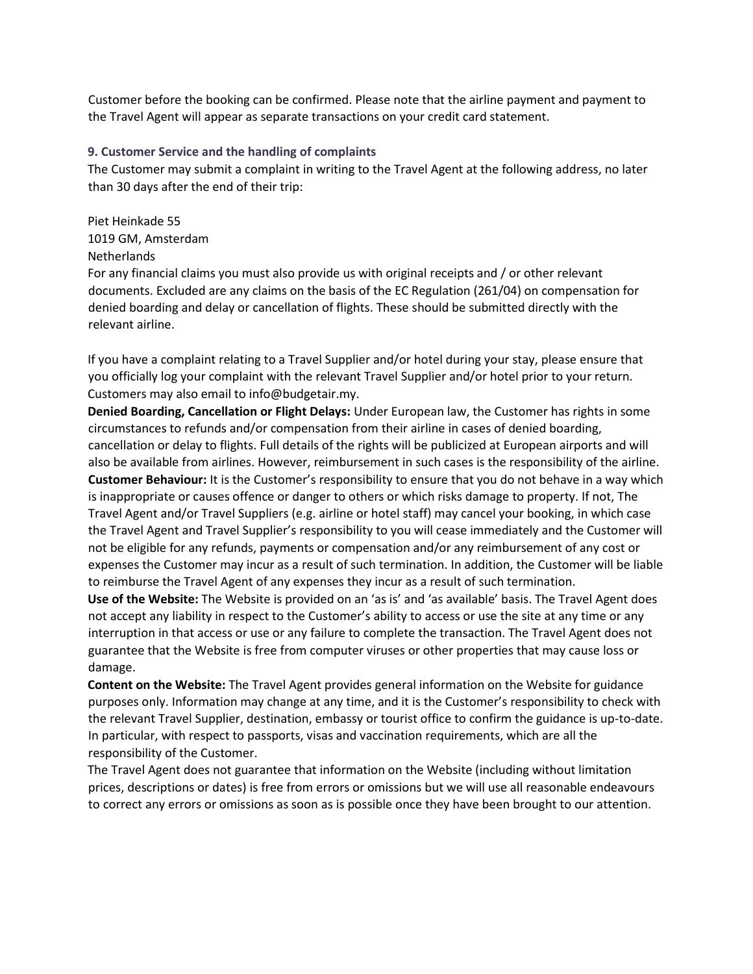Customer before the booking can be confirmed. Please note that the airline payment and payment to the Travel Agent will appear as separate transactions on your credit card statement.

## **9. Customer Service and the handling of complaints**

The Customer may submit a complaint in writing to the Travel Agent at the following address, no later than 30 days after the end of their trip:

Piet Heinkade 55 1019 GM, Amsterdam Netherlands

For any financial claims you must also provide us with original receipts and / or other relevant documents. Excluded are any claims on the basis of the EC Regulation (261/04) on compensation for denied boarding and delay or cancellation of flights. These should be submitted directly with the relevant airline.

If you have a complaint relating to a Travel Supplier and/or hotel during your stay, please ensure that you officially log your complaint with the relevant Travel Supplier and/or hotel prior to your return. Customers may also email to info@budgetair.my.

**Denied Boarding, Cancellation or Flight Delays:** Under European law, the Customer has rights in some circumstances to refunds and/or compensation from their airline in cases of denied boarding, cancellation or delay to flights. Full details of the rights will be publicized at European airports and will also be available from airlines. However, reimbursement in such cases is the responsibility of the airline. **Customer Behaviour:** It is the Customer's responsibility to ensure that you do not behave in a way which is inappropriate or causes offence or danger to others or which risks damage to property. If not, The Travel Agent and/or Travel Suppliers (e.g. airline or hotel staff) may cancel your booking, in which case the Travel Agent and Travel Supplier's responsibility to you will cease immediately and the Customer will not be eligible for any refunds, payments or compensation and/or any reimbursement of any cost or expenses the Customer may incur as a result of such termination. In addition, the Customer will be liable to reimburse the Travel Agent of any expenses they incur as a result of such termination.

**Use of the Website:** The Website is provided on an 'as is' and 'as available' basis. The Travel Agent does not accept any liability in respect to the Customer's ability to access or use the site at any time or any interruption in that access or use or any failure to complete the transaction. The Travel Agent does not guarantee that the Website is free from computer viruses or other properties that may cause loss or damage.

**Content on the Website:** The Travel Agent provides general information on the Website for guidance purposes only. Information may change at any time, and it is the Customer's responsibility to check with the relevant Travel Supplier, destination, embassy or tourist office to confirm the guidance is up-to-date. In particular, with respect to passports, visas and vaccination requirements, which are all the responsibility of the Customer.

The Travel Agent does not guarantee that information on the Website (including without limitation prices, descriptions or dates) is free from errors or omissions but we will use all reasonable endeavours to correct any errors or omissions as soon as is possible once they have been brought to our attention.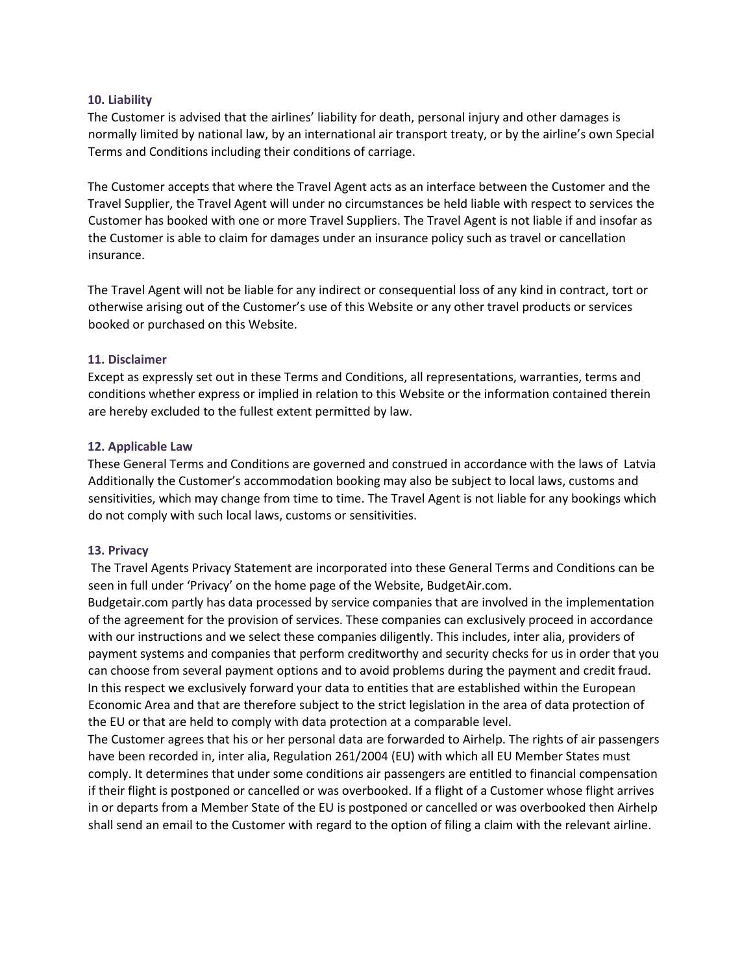# **10. Liability**

The Customer is advised that the airlines' liability for death, personal injury and other damages is normally limited by national law, by an international air transport treaty, or by the airline's own Special Terms and Conditions including their conditions of carriage.

The Customer accepts that where the Travel Agent acts as an interface between the Customer and the Travel Supplier, the Travel Agent will under no circumstances be held liable with respect to services the Customer has booked with one or more Travel Suppliers. The Travel Agent is not liable if and insofar as the Customer is able to claim for damages under an insurance policy such as travel or cancellation insurance.

The Travel Agent will not be liable for any indirect or consequential loss of any kind in contract, tort or otherwise arising out of the Customer's use of this Website or any other travel products or services booked or purchased on this Website.

# **11. Disclaimer**

Except as expressly set out in these Terms and Conditions, all representations, warranties, terms and conditions whether express or implied in relation to this Website or the information contained therein are hereby excluded to the fullest extent permitted by law.

# **12. Applicable Law**

These General Terms and Conditions are governed and construed in accordance with the laws of Latvia Additionally the Customer's accommodation booking may also be subject to local laws, customs and sensitivities, which may change from time to time. The Travel Agent is not liable for any bookings which do not comply with such local laws, customs or sensitivities.

#### **13. Privacy**

The Travel Agents Privacy Statement are incorporated into these General Terms and Conditions can be seen in full under 'Privacy' on the home page of the Website, BudgetAir.com.

Budgetair.com partly has data processed by service companies that are involved in the implementation of the agreement for the provision of services. These companies can exclusively proceed in accordance with our instructions and we select these companies diligently. This includes, inter alia, providers of payment systems and companies that perform creditworthy and security checks for us in order that you can choose from several payment options and to avoid problems during the payment and credit fraud. In this respect we exclusively forward your data to entities that are established within the European Economic Area and that are therefore subject to the strict legislation in the area of data protection of the EU or that are held to comply with data protection at a comparable level.

The Customer agrees that his or her personal data are forwarded to Airhelp. The rights of air passengers have been recorded in, inter alia, Regulation 261/2004 (EU) with which all EU Member States must comply. It determines that under some conditions air passengers are entitled to financial compensation if their flight is postponed or cancelled or was overbooked. If a flight of a Customer whose flight arrives in or departs from a Member State of the EU is postponed or cancelled or was overbooked then Airhelp shall send an email to the Customer with regard to the option of filing a claim with the relevant airline.